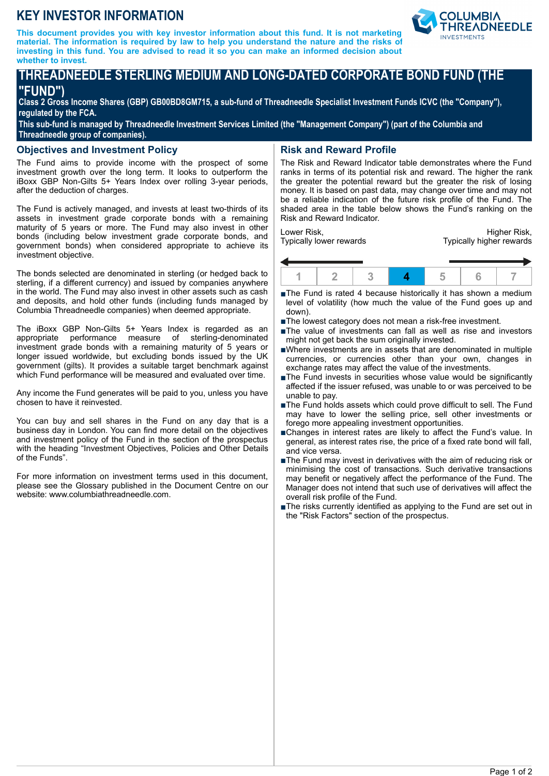# **KEY INVESTOR INFORMATION**

**This document provides you with key investor information about this fund. It is not marketing material. The information is required by law to help you understand the nature and the risks of investing in this fund. You are advised to read it so you can make an informed decision about whether to invest.**



# **THREADNEEDLE STERLING MEDIUM AND LONG-DATED CORPORATE BOND FUND (THE "FUND")**

**Class 2 Gross Income Shares (GBP) GB00BD8GM715, a sub-fund of Threadneedle Specialist Investment Funds ICVC (the "Company"), regulated by the FCA.**

**This sub-fund is managed by Threadneedle Investment Services Limited (the "Management Company") (part of the Columbia and Threadneedle group of companies).**

#### **Objectives and Investment Policy**

The Fund aims to provide income with the prospect of some investment growth over the long term. It looks to outperform the iBoxx GBP Non-Gilts 5+ Years Index over rolling 3-year periods, after the deduction of charges.

The Fund is actively managed, and invests at least two-thirds of its assets in investment grade corporate bonds with a remaining maturity of 5 years or more. The Fund may also invest in other bonds (including below investment grade corporate bonds, and government bonds) when considered appropriate to achieve its investment objective.

The bonds selected are denominated in sterling (or hedged back to sterling, if a different currency) and issued by companies anywhere in the world. The Fund may also invest in other assets such as cash and deposits, and hold other funds (including funds managed by Columbia Threadneedle companies) when deemed appropriate.

The iBoxx GBP Non-Gilts 5+ Years Index is regarded as an appropriate performance measure of sterling-denominated investment grade bonds with a remaining maturity of 5 years or longer issued worldwide, but excluding bonds issued by the UK government (gilts). It provides a suitable target benchmark against which Fund performance will be measured and evaluated over time.

Any income the Fund generates will be paid to you, unless you have chosen to have it reinvested.

You can buy and sell shares in the Fund on any day that is a business day in London. You can find more detail on the objectives and investment policy of the Fund in the section of the prospectus with the heading "Investment Objectives, Policies and Other Details of the Funds".

For more information on investment terms used in this document, please see the Glossary published in the Document Centre on our website: www.columbiathreadneedle.com.

## **Risk and Reward Profile**

The Risk and Reward Indicator table demonstrates where the Fund ranks in terms of its potential risk and reward. The higher the rank the greater the potential reward but the greater the risk of losing money. It is based on past data, may change over time and may not be a reliable indication of the future risk profile of the Fund. The shaded area in the table below shows the Fund's ranking on the Risk and Reward Indicator.

Lower Risk, Typically lower rewards

Higher Risk, Typically higher rewards



■The Fund is rated 4 because historically it has shown a medium level of volatility (how much the value of the Fund goes up and down).

- ■The lowest category does not mean a risk-free investment.
- ■The value of investments can fall as well as rise and investors might not get back the sum originally invested.
- $\blacksquare$ Where investments are in assets that are denominated in multiple currencies, or currencies other than your own, changes in exchange rates may affect the value of the investments.
- ■The Fund invests in securities whose value would be significantly affected if the issuer refused, was unable to or was perceived to be unable to pay.
- nThe Fund holds assets which could prove difficult to sell. The Fund may have to lower the selling price, sell other investments or forego more appealing investment opportunities.
- ■Changes in interest rates are likely to affect the Fund's value. In general, as interest rates rise, the price of a fixed rate bond will fall, and vice versa.
- $\blacksquare$ The Fund may invest in derivatives with the aim of reducing risk or minimising the cost of transactions. Such derivative transactions may benefit or negatively affect the performance of the Fund. The Manager does not intend that such use of derivatives will affect the overall risk profile of the Fund.
- ■The risks currently identified as applying to the Fund are set out in the "Risk Factors" section of the prospectus.